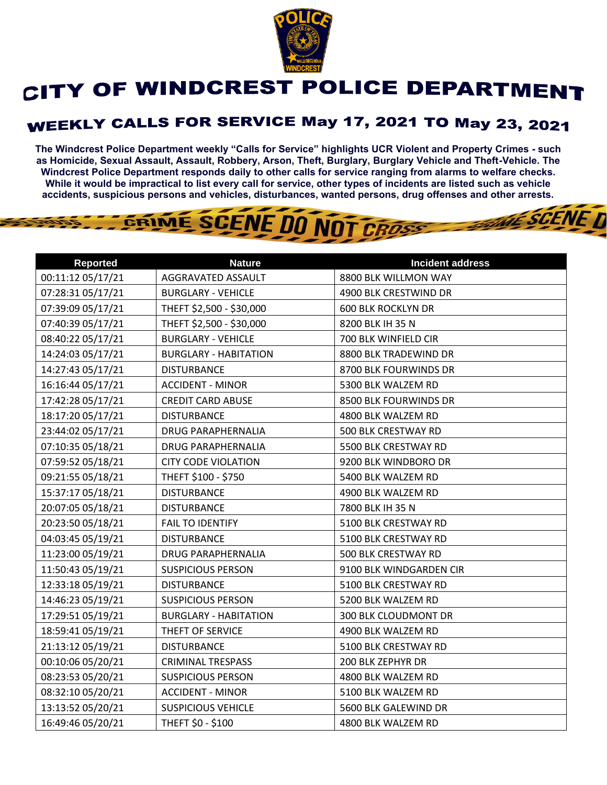

## CITY OF WINDCREST POLICE DEPARTMENT

## **WEEKLY CALLS FOR SERVICE May 17, 2021 TO May 23, 2021**

**The Windcrest Police Department weekly "Calls for Service" highlights UCR Violent and Property Crimes - such as Homicide, Sexual Assault, Assault, Robbery, Arson, Theft, Burglary, Burglary Vehicle and Theft-Vehicle. The Windcrest Police Department responds daily to other calls for service ranging from alarms to welfare checks. While it would be impractical to list every call for service, other types of incidents are listed such as vehicle accidents, suspicious persons and vehicles, disturbances, wanted persons, drug offenses and other arrests.** 

**THE SCENE D** 

## GRIME SCENE DO NOT CROSS

| <b>Reported</b>   | <b>Nature</b>                | <b>Incident address</b>   |
|-------------------|------------------------------|---------------------------|
| 00:11:12 05/17/21 | AGGRAVATED ASSAULT           | 8800 BLK WILLMON WAY      |
| 07:28:31 05/17/21 | <b>BURGLARY - VEHICLE</b>    | 4900 BLK CRESTWIND DR     |
| 07:39:09 05/17/21 | THEFT \$2,500 - \$30,000     | <b>600 BLK ROCKLYN DR</b> |
| 07:40:39 05/17/21 | THEFT \$2,500 - \$30,000     | 8200 BLK IH 35 N          |
| 08:40:22 05/17/21 | <b>BURGLARY - VEHICLE</b>    | 700 BLK WINFIELD CIR      |
| 14:24:03 05/17/21 | <b>BURGLARY - HABITATION</b> | 8800 BLK TRADEWIND DR     |
| 14:27:43 05/17/21 | <b>DISTURBANCE</b>           | 8700 BLK FOURWINDS DR     |
| 16:16:44 05/17/21 | <b>ACCIDENT - MINOR</b>      | 5300 BLK WALZEM RD        |
| 17:42:28 05/17/21 | <b>CREDIT CARD ABUSE</b>     | 8500 BLK FOURWINDS DR     |
| 18:17:20 05/17/21 | <b>DISTURBANCE</b>           | 4800 BLK WALZEM RD        |
| 23:44:02 05/17/21 | DRUG PARAPHERNALIA           | 500 BLK CRESTWAY RD       |
| 07:10:35 05/18/21 | <b>DRUG PARAPHERNALIA</b>    | 5500 BLK CRESTWAY RD      |
| 07:59:52 05/18/21 | <b>CITY CODE VIOLATION</b>   | 9200 BLK WINDBORO DR      |
| 09:21:55 05/18/21 | THEFT \$100 - \$750          | 5400 BLK WALZEM RD        |
| 15:37:17 05/18/21 | <b>DISTURBANCE</b>           | 4900 BLK WALZEM RD        |
| 20:07:05 05/18/21 | <b>DISTURBANCE</b>           | 7800 BLK IH 35 N          |
| 20:23:50 05/18/21 | <b>FAIL TO IDENTIFY</b>      | 5100 BLK CRESTWAY RD      |
| 04:03:45 05/19/21 | <b>DISTURBANCE</b>           | 5100 BLK CRESTWAY RD      |
| 11:23:00 05/19/21 | <b>DRUG PARAPHERNALIA</b>    | 500 BLK CRESTWAY RD       |
| 11:50:43 05/19/21 | <b>SUSPICIOUS PERSON</b>     | 9100 BLK WINDGARDEN CIR   |
| 12:33:18 05/19/21 | <b>DISTURBANCE</b>           | 5100 BLK CRESTWAY RD      |
| 14:46:23 05/19/21 | <b>SUSPICIOUS PERSON</b>     | 5200 BLK WALZEM RD        |
| 17:29:51 05/19/21 | <b>BURGLARY - HABITATION</b> | 300 BLK CLOUDMONT DR      |
| 18:59:41 05/19/21 | THEFT OF SERVICE             | 4900 BLK WALZEM RD        |
| 21:13:12 05/19/21 | <b>DISTURBANCE</b>           | 5100 BLK CRESTWAY RD      |
| 00:10:06 05/20/21 | <b>CRIMINAL TRESPASS</b>     | 200 BLK ZEPHYR DR         |
| 08:23:53 05/20/21 | <b>SUSPICIOUS PERSON</b>     | 4800 BLK WALZEM RD        |
| 08:32:10 05/20/21 | <b>ACCIDENT - MINOR</b>      | 5100 BLK WALZEM RD        |
| 13:13:52 05/20/21 | <b>SUSPICIOUS VEHICLE</b>    | 5600 BLK GALEWIND DR      |
| 16:49:46 05/20/21 | THEFT \$0 - \$100            | 4800 BLK WALZEM RD        |